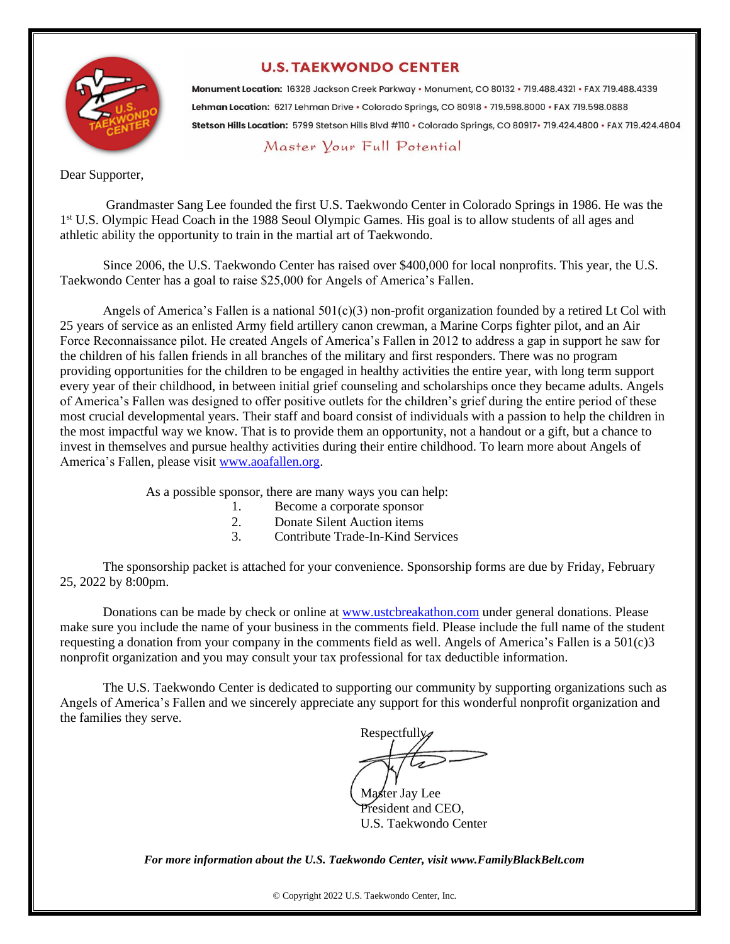

٦

#### **U.S. TAEKWONDO CENTER**

Monument Location: 16328 Jackson Creek Parkway · Monument, CO 80132 · 719.488.4321 · FAX 719.488.4339 Lehman Location: 6217 Lehman Drive · Colorado Springs, CO 80918 · 719.598.8000 · FAX 719.598.0888 Stetson Hills Location: 5799 Stetson Hills Blvd #110 · Colorado Springs, CO 80917 · 719.424.4800 · FAX 719.424.4804

#### Master Your Full Potential

Dear Supporter,

 Grandmaster Sang Lee founded the first U.S. Taekwondo Center in Colorado Springs in 1986. He was the 1<sup>st</sup> U.S. Olympic Head Coach in the 1988 Seoul Olympic Games. His goal is to allow students of all ages and athletic ability the opportunity to train in the martial art of Taekwondo.

Since 2006, the U.S. Taekwondo Center has raised over \$400,000 for local nonprofits. This year, the U.S. Taekwondo Center has a goal to raise \$25,000 for Angels of America's Fallen.

Angels of America's Fallen is a national  $501(c)(3)$  non-profit organization founded by a retired Lt Col with 25 years of service as an enlisted Army field artillery canon crewman, a Marine Corps fighter pilot, and an Air Force Reconnaissance pilot. He created Angels of America's Fallen in 2012 to address a gap in support he saw for the children of his fallen friends in all branches of the military and first responders. There was no program providing opportunities for the children to be engaged in healthy activities the entire year, with long term support every year of their childhood, in between initial grief counseling and scholarships once they became adults. Angels of America's Fallen was designed to offer positive outlets for the children's grief during the entire period of these most crucial developmental years. Their staff and board consist of individuals with a passion to help the children in the most impactful way we know. That is to provide them an opportunity, not a handout or a gift, but a chance to invest in themselves and pursue healthy activities during their entire childhood. To learn more about Angels of America's Fallen, please visit [www.aoafallen.org.](http://www.aoafallen.org/)

As a possible sponsor, there are many ways you can help:

- 1. Become a corporate sponsor
- 2. Donate Silent Auction items
- 3. Contribute Trade-In-Kind Services

The sponsorship packet is attached for your convenience. Sponsorship forms are due by Friday, February 25, 2022 by 8:00pm.

Donations can be made by check or online at [www.ustcbreakathon.com](http://www.ustcbreakathon.com/) under general donations. Please make sure you include the name of your business in the comments field. Please include the full name of the student requesting a donation from your company in the comments field as well. Angels of America's Fallen is a 501(c)3 nonprofit organization and you may consult your tax professional for tax deductible information.

The U.S. Taekwondo Center is dedicated to supporting our community by supporting organizations such as Angels of America's Fallen and we sincerely appreciate any support for this wonderful nonprofit organization and the families they serve.

Respectfully,

Master Jay Lee President and CEO, U.S. Taekwondo Center

*For more information about the U.S. Taekwondo Center, visit www.FamilyBlackBelt.com*

© Copyright 2022 U.S. Taekwondo Center, Inc.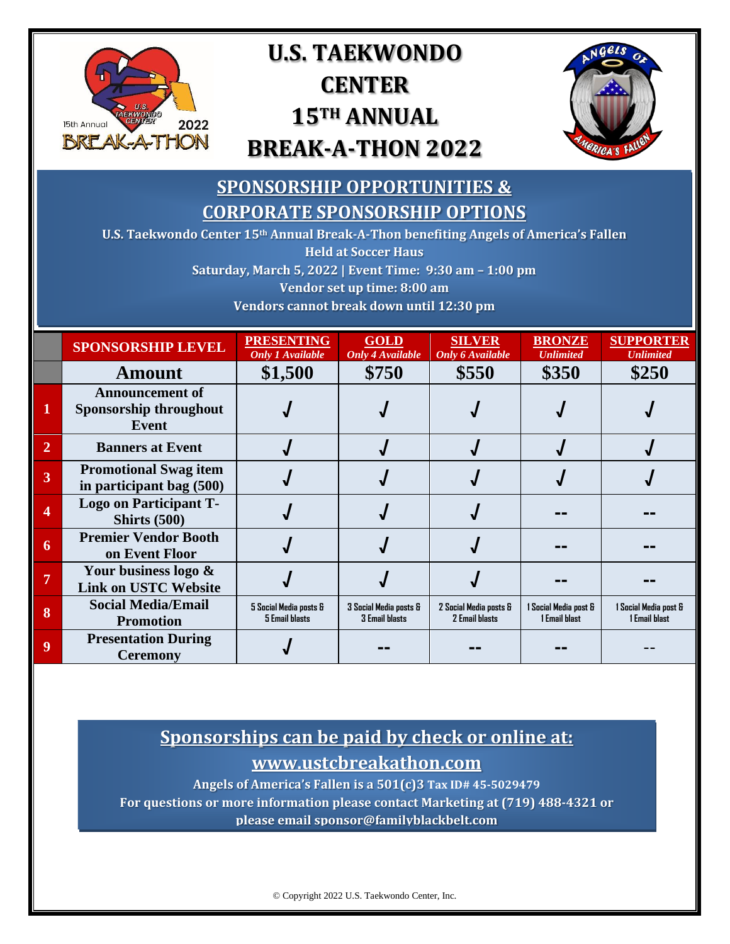

## **U.S. TAEKWONDO CENTER 15TH ANNUAL BREAK-A-THON 2022**



### **SPONSORSHIP OPPORTUNITIES & CORPORATE SPONSORSHIP OPTIONS**

**U.S. Taekwondo Center 15th Annual Break-A-Thon benefiting Angels of America's Fallen Held at Soccer Haus**

**Saturday, March 5, 2022 | Event Time: 9:30 am – 1:00 pm**

**Vendor set up time: 8:00 am**

**Vendors cannot break down until 12:30 pm**

|                | <b>SPONSORSHIP LEVEL</b>                                  | <b>PRESENTING</b><br><b>Only 1 Available</b> | <b>GOLD</b><br><b>Only 4 Available</b>          | <b>SILVER</b><br><b>Only 6 Available</b>        | <b>BRONZE</b><br><b>Unlimited</b>      | <b>SUPPORTER</b><br><b>Unlimited</b>   |
|----------------|-----------------------------------------------------------|----------------------------------------------|-------------------------------------------------|-------------------------------------------------|----------------------------------------|----------------------------------------|
|                | Amount                                                    | \$1,500                                      | \$750                                           | \$550                                           | \$350                                  | \$250                                  |
|                | <b>Announcement of</b><br>Sponsorship throughout<br>Event |                                              |                                                 |                                                 |                                        |                                        |
| $\overline{2}$ | <b>Banners at Event</b>                                   |                                              |                                                 |                                                 |                                        |                                        |
| 3              | <b>Promotional Swag item</b><br>in participant bag (500)  |                                              |                                                 |                                                 |                                        |                                        |
| 4              | <b>Logo on Participant T-</b><br><b>Shirts (500)</b>      |                                              |                                                 |                                                 |                                        |                                        |
| 6              | <b>Premier Vendor Booth</b><br>on Event Floor             |                                              |                                                 |                                                 |                                        |                                        |
| 7              | Your business logo &<br><b>Link on USTC Website</b>       |                                              |                                                 |                                                 |                                        |                                        |
| 8              | <b>Social Media/Email</b><br><b>Promotion</b>             | 5 Social Media posts &<br>5 Email hlasts     | 3 Social Media posts &<br><b>3 Email hlasts</b> | 2 Social Media posts &<br><b>2 Email hlasts</b> | 1 Social Media post &<br>1 Email blast | 1 Social Media post &<br>1 Email hlast |
| 9              | <b>Presentation During</b><br><b>Ceremony</b>             |                                              |                                                 |                                                 |                                        |                                        |

#### **Sponsorships can be paid by check or online at: www.ustcbreakathon.com**

**Angels of America's Fallen is a 501(c)3 Tax ID# 45-5029479**

**For questions or more information please contact Marketing at (719) 488-4321 or please email sponsor@familyblackbelt.com**

© Copyright 2022 U.S. Taekwondo Center, Inc.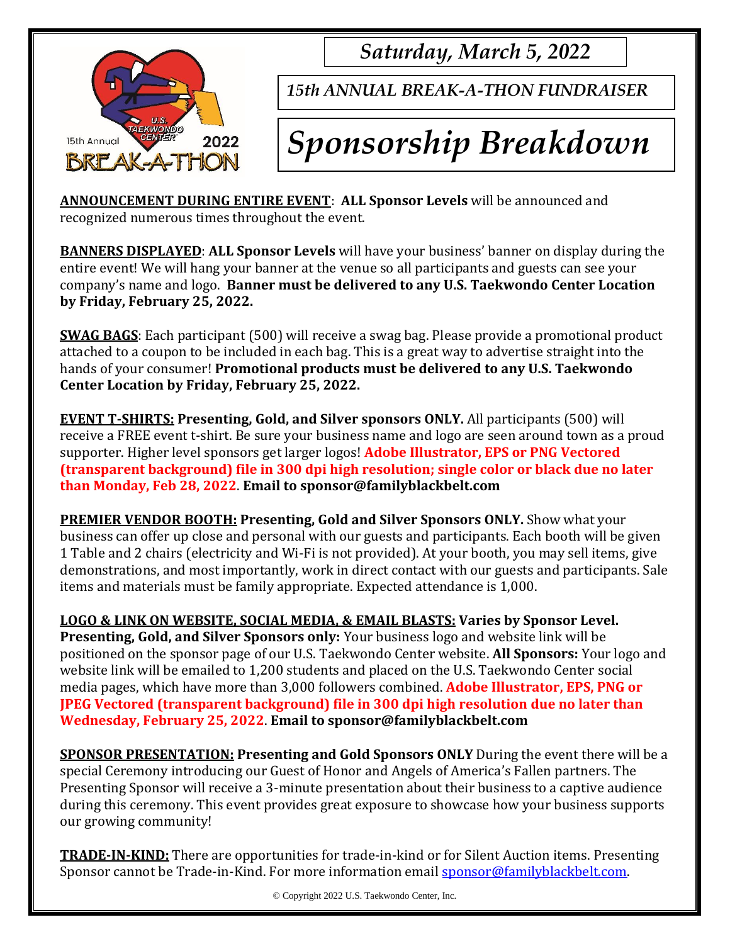

*Saturday, March 5, 2022*

*15th ANNUAL BREAK-A-THON FUNDRAISER*

# *Sponsorship Breakdown*

**ANNOUNCEMENT DURING ENTIRE EVENT**: **ALL Sponsor Levels** will be announced and recognized numerous times throughout the event.

**BANNERS DISPLAYED**: **ALL Sponsor Levels** will have your business' banner on display during the entire event! We will hang your banner at the venue so all participants and guests can see your company's name and logo. **Banner must be delivered to any U.S. Taekwondo Center Location by Friday, February 25, 2022.**

**SWAG BAGS**: Each participant (500) will receive a swag bag. Please provide a promotional product attached to a coupon to be included in each bag. This is a great way to advertise straight into the hands of your consumer! **Promotional products must be delivered to any U.S. Taekwondo Center Location by Friday, February 25, 2022.**

**EVENT T-SHIRTS: Presenting, Gold, and Silver sponsors ONLY.** All participants (500) will receive a FREE event t-shirt. Be sure your business name and logo are seen around town as a proud supporter. Higher level sponsors get larger logos! **Adobe Illustrator, EPS or PNG Vectored (transparent background) file in 300 dpi high resolution; single color or black due no later than Monday, Feb 28, 2022**. **Email to sponsor@familyblackbelt.com**

**PREMIER VENDOR BOOTH: Presenting, Gold and Silver Sponsors ONLY.** Show what your business can offer up close and personal with our guests and participants. Each booth will be given 1 Table and 2 chairs (electricity and Wi-Fi is not provided). At your booth, you may sell items, give demonstrations, and most importantly, work in direct contact with our guests and participants. Sale items and materials must be family appropriate. Expected attendance is 1,000.

**LOGO & LINK ON WEBSITE, SOCIAL MEDIA, & EMAIL BLASTS: Varies by Sponsor Level. Presenting, Gold, and Silver Sponsors only:** Your business logo and website link will be positioned on the sponsor page of our U.S. Taekwondo Center website. **All Sponsors:** Your logo and website link will be emailed to 1,200 students and placed on the U.S. Taekwondo Center social media pages, which have more than 3,000 followers combined. **Adobe Illustrator, EPS, PNG or JPEG Vectored (transparent background) file in 300 dpi high resolution due no later than Wednesday, February 25, 2022**. **Email to sponsor@familyblackbelt.com**

**SPONSOR PRESENTATION: Presenting and Gold Sponsors ONLY** During the event there will be a special Ceremony introducing our Guest of Honor and Angels of America's Fallen partners. The Presenting Sponsor will receive a 3-minute presentation about their business to a captive audience during this ceremony. This event provides great exposure to showcase how your business supports our growing community!

**TRADE-IN-KIND:** There are opportunities for trade-in-kind or for Silent Auction items. Presenting Sponsor cannot be Trade-in-Kind. For more information email [sponsor@familyblackbelt.com.](mailto:sponsor@familyblackbelt.com)

© Copyright 2022 U.S. Taekwondo Center, Inc.